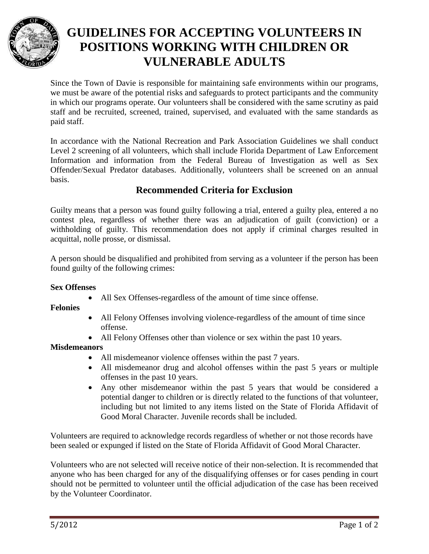

# **GUIDELINES FOR ACCEPTING VOLUNTEERS IN POSITIONS WORKING WITH CHILDREN OR VULNERABLE ADULTS**

Since the Town of Davie is responsible for maintaining safe environments within our programs, we must be aware of the potential risks and safeguards to protect participants and the community in which our programs operate. Our volunteers shall be considered with the same scrutiny as paid staff and be recruited, screened, trained, supervised, and evaluated with the same standards as paid staff.

In accordance with the National Recreation and Park Association Guidelines we shall conduct Level 2 screening of all volunteers, which shall include Florida Department of Law Enforcement Information and information from the Federal Bureau of Investigation as well as Sex Offender/Sexual Predator databases. Additionally, volunteers shall be screened on an annual basis.

### **Recommended Criteria for Exclusion**

Guilty means that a person was found guilty following a trial, entered a guilty plea, entered a no contest plea, regardless of whether there was an adjudication of guilt (conviction) or a withholding of guilty. This recommendation does not apply if criminal charges resulted in acquittal, nolle prosse, or dismissal.

A person should be disqualified and prohibited from serving as a volunteer if the person has been found guilty of the following crimes:

#### **Sex Offenses**

• All Sex Offenses-regardless of the amount of time since offense.

**Felonies**

- All Felony Offenses involving violence-regardless of the amount of time since offense.
- All Felony Offenses other than violence or sex within the past 10 years.

#### **Misdemeanors**

- All misdemeanor violence offenses within the past 7 years.
- All misdemeanor drug and alcohol offenses within the past 5 years or multiple offenses in the past 10 years.
- Any other misdemeanor within the past 5 years that would be considered a potential danger to children or is directly related to the functions of that volunteer, including but not limited to any items listed on the State of Florida Affidavit of Good Moral Character. Juvenile records shall be included.

Volunteers are required to acknowledge records regardless of whether or not those records have been sealed or expunged if listed on the State of Florida Affidavit of Good Moral Character.

Volunteers who are not selected will receive notice of their non-selection. It is recommended that anyone who has been charged for any of the disqualifying offenses or for cases pending in court should not be permitted to volunteer until the official adjudication of the case has been received by the Volunteer Coordinator.